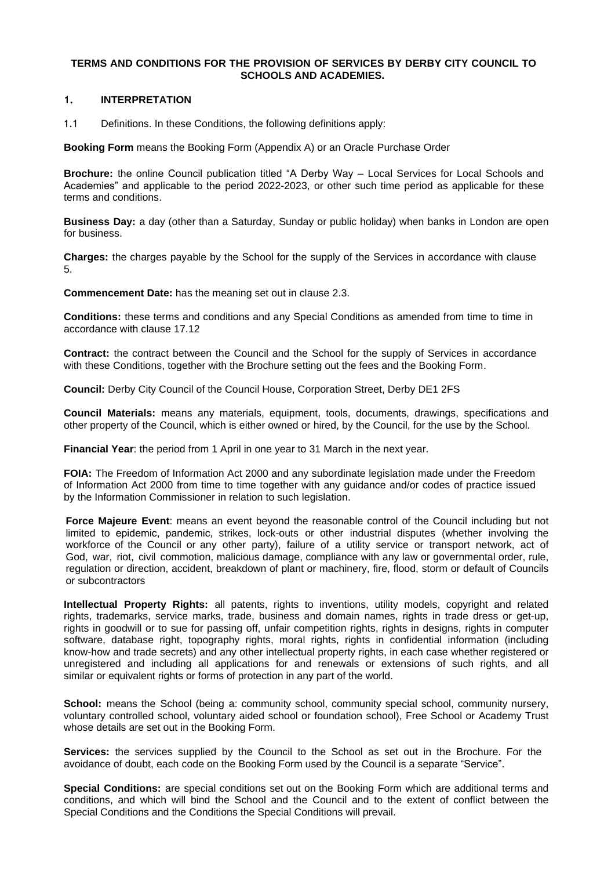### **TERMS AND CONDITIONS FOR THE PROVISION OF SERVICES BY DERBY CITY COUNCIL TO SCHOOLS AND ACADEMIES.**

# **1. INTERPRETATION**

1.1 Definitions. In these Conditions, the following definitions apply:

**Booking Form** means the Booking Form (Appendix A) or an Oracle Purchase Order

**Brochure:** the online Council publication titled "A Derby Way – Local Services for Local Schools and Academies" and applicable to the period 2022-2023, or other such time period as applicable for these terms and conditions.

**Business Day:** a day (other than a Saturday, Sunday or public holiday) when banks in London are open for business.

**Charges:** the charges payable by the School for the supply of the Services in accordance with clause [5.](#page-2-0)

**Commencement Date:** has the meaning set out in clause [2.3.](#page-1-0) 

**Conditions:** these terms and conditions and any Special Conditions as amended from time to time in accordance with clause [17.12](#page-9-0) 

**Contract:** the contract between the Council and the School for the supply of Services in accordance with these Conditions, together with the Brochure setting out the fees and the Booking Form.

**Council:** Derby City Council of the Council House, Corporation Street, Derby DE1 2FS

**Council Materials:** means any materials, equipment, tools, documents, drawings, specifications and other property of the Council, which is either owned or hired, by the Council, for the use by the School.

**Financial Year**: the period from 1 April in one year to 31 March in the next year.

**FOIA:** The Freedom of Information Act 2000 and any subordinate legislation made under the Freedom of Information Act 2000 from time to time together with any guidance and/or codes of practice issued by the Information Commissioner in relation to such legislation.

**Force Majeure Event**: means an event beyond the reasonable control of the Council including but not limited to epidemic, pandemic, strikes, lock-outs or other industrial disputes (whether involving the workforce of the Council or any other party), failure of a utility service or transport network, act of God, war, riot, civil commotion, malicious damage, compliance with any law or governmental order, rule, regulation or direction, accident, breakdown of plant or machinery, fire, flood, storm or default of Councils or subcontractors

**Intellectual Property Rights:** all patents, rights to inventions, utility models, copyright and related rights, trademarks, service marks, trade, business and domain names, rights in trade dress or get-up, rights in goodwill or to sue for passing off, unfair competition rights, rights in designs, rights in computer software, database right, topography rights, moral rights, rights in confidential information (including know-how and trade secrets) and any other intellectual property rights, in each case whether registered or unregistered and including all applications for and renewals or extensions of such rights, and all similar or equivalent rights or forms of protection in any part of the world.

**School:** means the School (being a: community school, community special school, community nursery, voluntary controlled school, voluntary aided school or foundation school), Free School or Academy Trust whose details are set out in the Booking Form.

**Services:** the services supplied by the Council to the School as set out in the Brochure. For the avoidance of doubt, each code on the Booking Form used by the Council is a separate "Service".

**Special Conditions:** are special conditions set out on the Booking Form which are additional terms and conditions, and which will bind the School and the Council and to the extent of conflict between the Special Conditions and the Conditions the Special Conditions will prevail.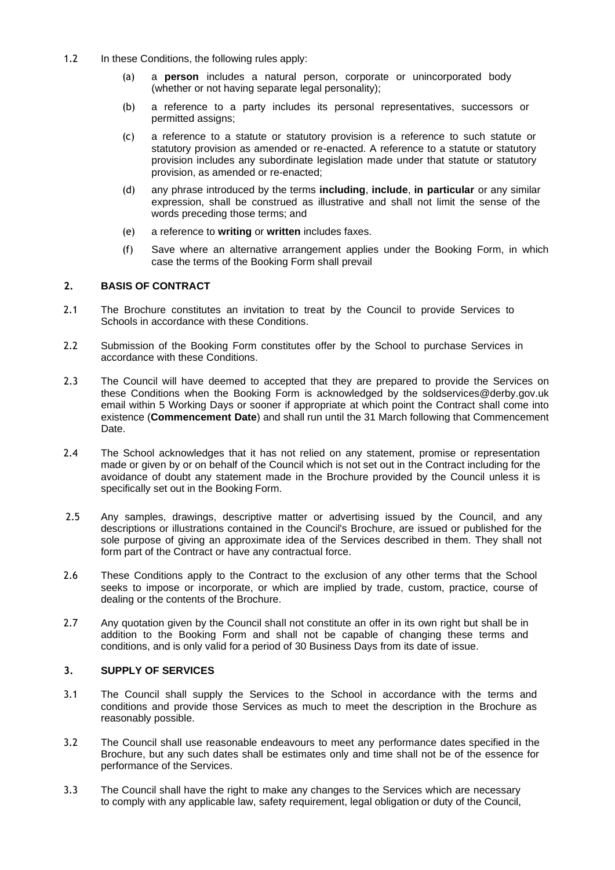- 1.2 In these Conditions, the following rules apply:
	- (a) a **person** includes a natural person, corporate or unincorporated body (whether or not having separate legal personality);
	- (b) a reference to a party includes its personal representatives, successors or permitted assigns;
	- (c) a reference to a statute or statutory provision is a reference to such statute or statutory provision as amended or re-enacted. A reference to a statute or statutory provision includes any subordinate legislation made under that statute or statutory provision, as amended or re-enacted;
	- (d) any phrase introduced by the terms **including**, **include**, **in particular** or any similar expression, shall be construed as illustrative and shall not limit the sense of the words preceding those terms; and
	- (e) a reference to **writing** or **written** includes faxes.
	- (f) Save where an alternative arrangement applies under the Booking Form, in which case the terms of the Booking Form shall prevail

# **2. BASIS OF CONTRACT**

- 2.1 The Brochure constitutes an invitation to treat by the Council to provide Services to Schools in accordance with these Conditions.
- 2.2 Submission of the Booking Form constitutes offer by the School to purchase Services in accordance with these Conditions.
- <span id="page-1-0"></span>2.3 The Council will have deemed to accepted that they are prepared to provide the Services on these Conditions when the Booking Form is acknowledged by the soldservices@derby.gov.uk email within 5 Working Days or sooner if appropriate at which point the Contract shall come into existence (**Commencement Date**) and shall run until the 31 March following that Commencement Date.
- 2.4 The School acknowledges that it has not relied on any statement, promise or representation made or given by or on behalf of the Council which is not set out in the Contract including for the avoidance of doubt any statement made in the Brochure provided by the Council unless it is specifically set out in the Booking Form.
- 2.5 Any samples, drawings, descriptive matter or advertising issued by the Council, and any descriptions or illustrations contained in the Council's Brochure, are issued or published for the sole purpose of giving an approximate idea of the Services described in them. They shall not form part of the Contract or have any contractual force.
- 2.6 These Conditions apply to the Contract to the exclusion of any other terms that the School seeks to impose or incorporate, or which are implied by trade, custom, practice, course of dealing or the contents of the Brochure.
- 2.7 Any quotation given by the Council shall not constitute an offer in its own right but shall be in addition to the Booking Form and shall not be capable of changing these terms and conditions, and is only valid for a period of 30 Business Days from its date of issue.

# **3. SUPPLY OF SERVICES**

- 3.1 The Council shall supply the Services to the School in accordance with the terms and conditions and provide those Services as much to meet the description in the Brochure as reasonably possible.
- 3.2 The Council shall use reasonable endeavours to meet any performance dates specified in the Brochure, but any such dates shall be estimates only and time shall not be of the essence for performance of the Services.
- 3.3 The Council shall have the right to make any changes to the Services which are necessary to comply with any applicable law, safety requirement, legal obligation or duty of the Council,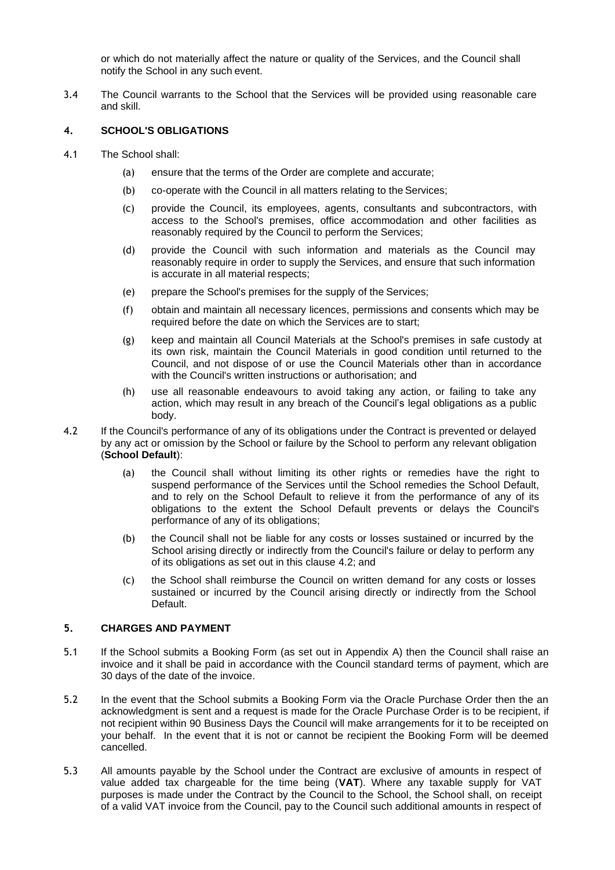or which do not materially affect the nature or quality of the Services, and the Council shall notify the School in any such event.

3.4 The Council warrants to the School that the Services will be provided using reasonable care and skill.

# **4. SCHOOL'S OBLIGATIONS**

- 4.1 The School shall:
	- (a) ensure that the terms of the Order are complete and accurate;
	- (b) co-operate with the Council in all matters relating to the Services;
	- (c) provide the Council, its employees, agents, consultants and subcontractors, with access to the School's premises, office accommodation and other facilities as reasonably required by the Council to perform the Services;
	- (d) provide the Council with such information and materials as the Council may reasonably require in order to supply the Services, and ensure that such information is accurate in all material respects;
	- (e) prepare the School's premises for the supply of the Services;
	- (f) obtain and maintain all necessary licences, permissions and consents which may be required before the date on which the Services are to start;
	- (g) keep and maintain all Council Materials at the School's premises in safe custody at its own risk, maintain the Council Materials in good condition until returned to the Council, and not dispose of or use the Council Materials other than in accordance with the Council's written instructions or authorisation; and
	- (h) use all reasonable endeavours to avoid taking any action, or failing to take any action, which may result in any breach of the Council's legal obligations as a public body.
- <span id="page-2-1"></span>4.2 If the Council's performance of any of its obligations under the Contract is prevented or delayed by any act or omission by the School or failure by the School to perform any relevant obligation (**School Default**):
	- (a) the Council shall without limiting its other rights or remedies have the right to suspend performance of the Services until the School remedies the School Default, and to rely on the School Default to relieve it from the performance of any of its obligations to the extent the School Default prevents or delays the Council's performance of any of its obligations;
	- (b) the Council shall not be liable for any costs or losses sustained or incurred by the School arising directly or indirectly from the Council's failure or delay to perform any of its obligations as set out in this clause [4.2;](#page-2-1) and
	- (c) the School shall reimburse the Council on written demand for any costs or losses sustained or incurred by the Council arising directly or indirectly from the School Default.

# <span id="page-2-0"></span>**5. CHARGES AND PAYMENT**

- 5.1 If the School submits a Booking Form (as set out in Appendix A) then the Council shall raise an invoice and it shall be paid in accordance with the Council standard terms of payment, which are 30 days of the date of the invoice.
- 5.2 In the event that the School submits a Booking Form via the Oracle Purchase Order then the an acknowledgment is sent and a request is made for the Oracle Purchase Order is to be recipient, if not recipient within 90 Business Days the Council will make arrangements for it to be receipted on your behalf. In the event that it is not or cannot be recipient the Booking Form will be deemed cancelled.
- 5.3 All amounts payable by the School under the Contract are exclusive of amounts in respect of value added tax chargeable for the time being (**VAT**). Where any taxable supply for VAT purposes is made under the Contract by the Council to the School, the School shall, on receipt of a valid VAT invoice from the Council, pay to the Council such additional amounts in respect of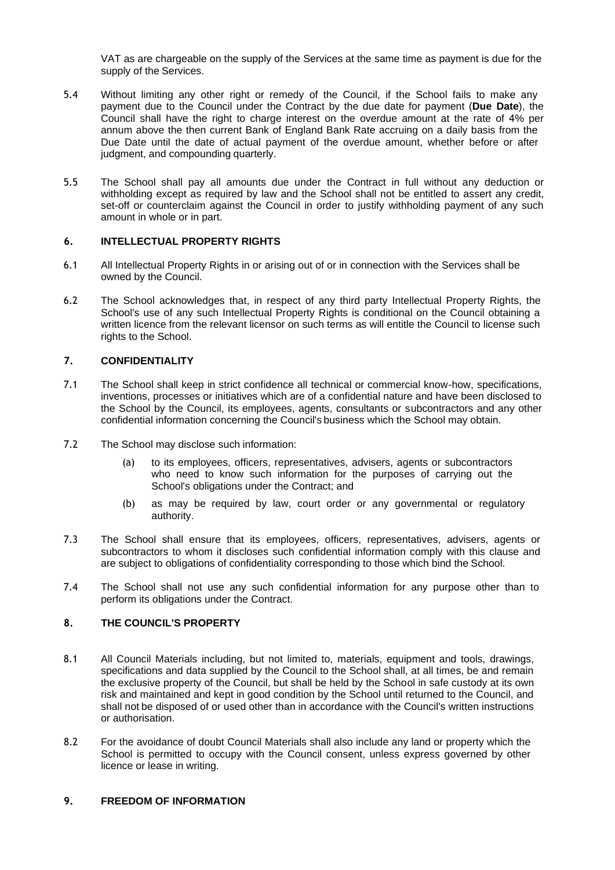VAT as are chargeable on the supply of the Services at the same time as payment is due for the supply of the Services.

- 5.4 Without limiting any other right or remedy of the Council, if the School fails to make any payment due to the Council under the Contract by the due date for payment (**Due Date**), the Council shall have the right to charge interest on the overdue amount at the rate of 4% per annum above the then current Bank of England Bank Rate accruing on a daily basis from the Due Date until the date of actual payment of the overdue amount, whether before or after judgment, and compounding quarterly.
- 5.5 The School shall pay all amounts due under the Contract in full without any deduction or withholding except as required by law and the School shall not be entitled to assert any credit, set-off or counterclaim against the Council in order to justify withholding payment of any such amount in whole or in part.

### **6. INTELLECTUAL PROPERTY RIGHTS**

- 6.1 All Intellectual Property Rights in or arising out of or in connection with the Services shall be owned by the Council.
- 6.2 The School acknowledges that, in respect of any third party Intellectual Property Rights, the School's use of any such Intellectual Property Rights is conditional on the Council obtaining a written licence from the relevant licensor on such terms as will entitle the Council to license such rights to the School.

# <span id="page-3-1"></span>**7. CONFIDENTIALITY**

- 7.1 The School shall keep in strict confidence all technical or commercial know-how, specifications, inventions, processes or initiatives which are of a confidential nature and have been disclosed to the School by the Council, its employees, agents, consultants or subcontractors and any other confidential information concerning the Council's business which the School may obtain.
- 7.2 The School may disclose such information:
	- (a) to its employees, officers, representatives, advisers, agents or subcontractors who need to know such information for the purposes of carrying out the School's obligations under the Contract; and
	- (b) as may be required by law, court order or any governmental or regulatory authority.
- <span id="page-3-0"></span>7.3 The School shall ensure that its employees, officers, representatives, advisers, agents or subcontractors to whom it discloses such confidential information comply with this clause and are subject to obligations of confidentiality corresponding to those which bind the School.
- 7.4 The School shall not use any such confidential information for any purpose other than to perform its obligations under the Contract.

# **8. THE COUNCIL'S PROPERTY**

- 8.1 All Council Materials including, but not limited to, materials, equipment and tools, drawings, specifications and data supplied by the Council to the School shall, at all times, be and remain the exclusive property of the Council, but shall be held by the School in safe custody at its own risk and maintained and kept in good condition by the School until returned to the Council, and shall not be disposed of or used other than in accordance with the Council's written instructions or authorisation.
- 8.2 For the avoidance of doubt Council Materials shall also include any land or property which the School is permitted to occupy with the Council consent, unless express governed by other licence or lease in writing.

### <span id="page-3-2"></span>**9. FREEDOM OF INFORMATION**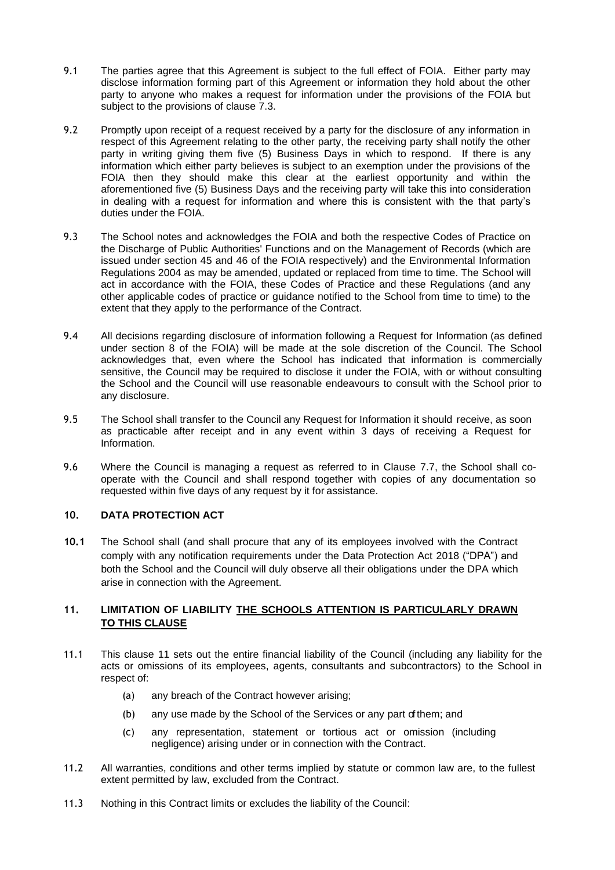- 9.1 The parties agree that this Agreement is subject to the full effect of FOIA. Either party may disclose information forming part of this Agreement or information they hold about the other party to anyone who makes a request for information under the provisions of the FOIA but subject to the provisions of clause [7.3.](#page-3-0)
- 9.2 Promptly upon receipt of a request received by a party for the disclosure of any information in respect of this Agreement relating to the other party, the receiving party shall notify the other party in writing giving them five (5) Business Days in which to respond. If there is any information which either party believes is subject to an exemption under the provisions of the FOIA then they should make this clear at the earliest opportunity and within the aforementioned five (5) Business Days and the receiving party will take this into consideration in dealing with a request for information and where this is consistent with the that party's duties under the FOIA.
- 9.3 The School notes and acknowledges the FOIA and both the respective Codes of Practice on the Discharge of Public Authorities' Functions and on the Management of Records (which are issued under section 45 and 46 of the FOIA respectively) and the Environmental Information Regulations 2004 as may be amended, updated or replaced from time to time. The School will act in accordance with the FOIA, these Codes of Practice and these Regulations (and any other applicable codes of practice or guidance notified to the School from time to time) to the extent that they apply to the performance of the Contract.
- <span id="page-4-0"></span>9.4 All decisions regarding disclosure of information following a Request for Information (as defined under section 8 of the FOIA) will be made at the sole discretion of the Council. The School acknowledges that, even where the School has indicated that information is commercially sensitive, the Council may be required to disclose it under the FOIA, with or without consulting the School and the Council will use reasonable endeavours to consult with the School prior to any disclosure.
- 9.5 The School shall transfer to the Council any Request for Information it should receive, as soon as practicable after receipt and in any event within 3 days of receiving a Request for Information.
- 9.6 Where the Council is managing a request as referred to in Clause [7.7, t](#page-4-0)he School shall cooperate with the Council and shall respond together with copies of any documentation so requested within five days of any request by it for assistance.

# <span id="page-4-4"></span>**10. DATA PROTECTION ACT**

**10.1** The School shall (and shall procure that any of its employees involved with the Contract comply with any notification requirements under the Data Protection Act 2018 ("DPA") and both the School and the Council will duly observe all their obligations under the DPA which arise in connection with the Agreement.

# <span id="page-4-1"></span>**11. LIMITATION OF LIABILITY THE SCHOOLS ATTENTION IS PARTICULARLY DRAWN TO THIS CLAUSE**

- 11.1 This clause [11](#page-4-1) sets out the entire financial liability of the Council (including any liability for the acts or omissions of its employees, agents, consultants and subcontractors) to the School in respect of:
	- (a) any breach of the Contract however arising;
	- (b) any use made by the School of the Services or any part of them; and
	- (c) any representation, statement or tortious act or omission (including negligence) arising under or in connection with the Contract.
- <span id="page-4-2"></span>11.2 All warranties, conditions and other terms implied by statute or common law are, to the fullest extent permitted by law, excluded from the Contract.
- <span id="page-4-3"></span>11.3 Nothing in this Contract limits or excludes the liability of the Council: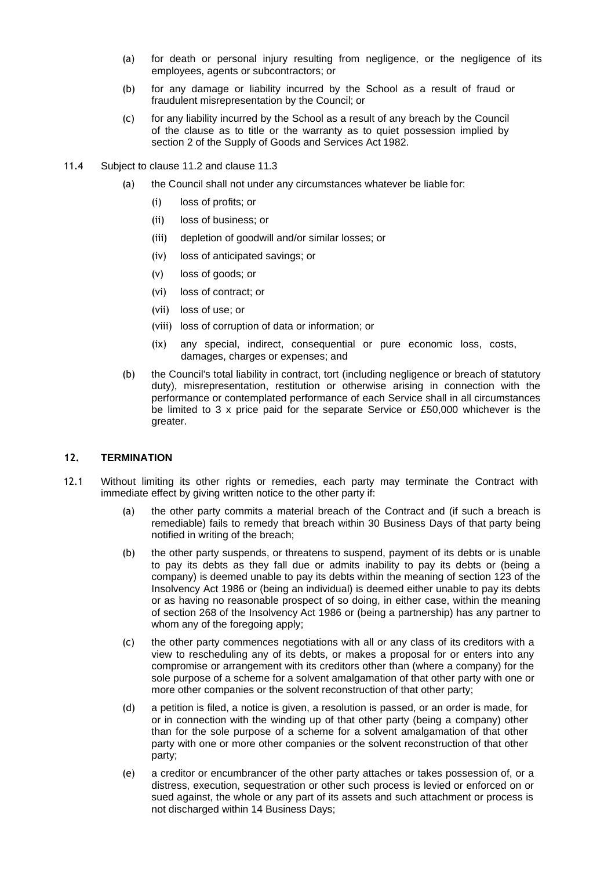- (a) for death or personal injury resulting from negligence, or the negligence of its employees, agents or subcontractors; or
- (b) for any damage or liability incurred by the School as a result of fraud or fraudulent misrepresentation by the Council; or
- (c) for any liability incurred by the School as a result of any breach by the Council of the clause as to title or the warranty as to quiet possession implied by section 2 of the Supply of Goods and Services Act 1982.
- 11.4 Subject to clause [11.2](#page-4-2) and clause [11.3](#page-4-3)
	- (a) the Council shall not under any circumstances whatever be liable for:
		- (i) loss of profits; or
		- (ii) loss of business; or
		- (iii) depletion of goodwill and/or similar losses; or
		- (iv) loss of anticipated savings; or
		- (v) loss of goods; or
		- (vi) loss of contract; or
		- (vii) loss of use; or
		- (viii) loss of corruption of data or information; or
		- (ix) any special, indirect, consequential or pure economic loss, costs, damages, charges or expenses; and
	- (b) the Council's total liability in contract, tort (including negligence or breach of statutory duty), misrepresentation, restitution or otherwise arising in connection with the performance or contemplated performance of each Service shall in all circumstances be limited to 3 x price paid for the separate Service or £50,000 whichever is the greater.

#### **12. TERMINATION**

- <span id="page-5-0"></span>12.1 Without limiting its other rights or remedies, each party may terminate the Contract with immediate effect by giving written notice to the other party if:
	- (a) the other party commits a material breach of the Contract and (if such a breach is remediable) fails to remedy that breach within 30 Business Days of that party being notified in writing of the breach;
	- (b) the other party suspends, or threatens to suspend, payment of its debts or is unable to pay its debts as they fall due or admits inability to pay its debts or (being a company) is deemed unable to pay its debts within the meaning of section 123 of the Insolvency Act 1986 or (being an individual) is deemed either unable to pay its debts or as having no reasonable prospect of so doing, in either case, within the meaning of section 268 of the Insolvency Act 1986 or (being a partnership) has any partner to whom any of the foregoing apply;
	- (c) the other party commences negotiations with all or any class of its creditors with a view to rescheduling any of its debts, or makes a proposal for or enters into any compromise or arrangement with its creditors other than (where a company) for the sole purpose of a scheme for a solvent amalgamation of that other party with one or more other companies or the solvent reconstruction of that other party;
	- (d) a petition is filed, a notice is given, a resolution is passed, or an order is made, for or in connection with the winding up of that other party (being a company) other than for the sole purpose of a scheme for a solvent amalgamation of that other party with one or more other companies or the solvent reconstruction of that other party;
	- (e) a creditor or encumbrancer of the other party attaches or takes possession of, or a distress, execution, sequestration or other such process is levied or enforced on or sued against, the whole or any part of its assets and such attachment or process is not discharged within 14 Business Days;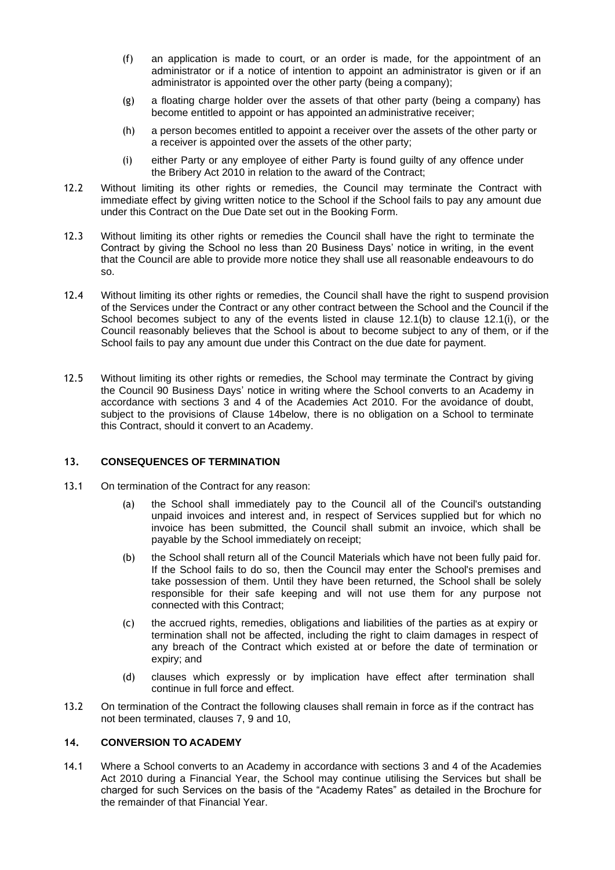- (f) an application is made to court, or an order is made, for the appointment of an administrator or if a notice of intention to appoint an administrator is given or if an administrator is appointed over the other party (being a company);
- (g) a floating charge holder over the assets of that other party (being a company) has become entitled to appoint or has appointed an administrative receiver;
- (h) a person becomes entitled to appoint a receiver over the assets of the other party or a receiver is appointed over the assets of the other party;
- (i) either Party or any employee of either Party is found guilty of any offence under the Bribery Act 2010 in relation to the award of the Contract;
- <span id="page-6-0"></span>12.2 Without limiting its other rights or remedies, the Council may terminate the Contract with immediate effect by giving written notice to the School if the School fails to pay any amount due under this Contract on the Due Date set out in the Booking Form.
- <span id="page-6-2"></span>12.3 Without limiting its other rights or remedies the Council shall have the right to terminate the Contract by giving the School no less than 20 Business Days' notice in writing, in the event that the Council are able to provide more notice they shall use all reasonable endeavours to do so.
- 12.4 Without limiting its other rights or remedies, the Council shall have the right to suspend provision of the Services under the Contract or any other contract between the School and the Council if the School becomes subject to any of the events listed in clause [12.1\(b\)](#page-5-0) to clause [12.1\(i\),](#page-6-0) or the Council reasonably believes that the School is about to become subject to any of them, or if the School fails to pay any amount due under this Contract on the due date for payment.
- 12.5 Without limiting its other rights or remedies, the School may terminate the Contract by giving the Council 90 Business Days' notice in writing where the School converts to an Academy in accordance with sections 3 and 4 of the Academies Act 2010. For the avoidance of doubt, subject to the provisions of Clause [14b](#page-6-1)elow, there is no obligation on a School to terminate this Contract, should it convert to an Academy.

#### **13. CONSEQUENCES OF TERMINATION**

- 13.1 On termination of the Contract for any reason:
	- (a) the School shall immediately pay to the Council all of the Council's outstanding unpaid invoices and interest and, in respect of Services supplied but for which no invoice has been submitted, the Council shall submit an invoice, which shall be payable by the School immediately on receipt;
	- (b) the School shall return all of the Council Materials which have not been fully paid for. If the School fails to do so, then the Council may enter the School's premises and take possession of them. Until they have been returned, the School shall be solely responsible for their safe keeping and will not use them for any purpose not connected with this Contract;
	- (c) the accrued rights, remedies, obligations and liabilities of the parties as at expiry or termination shall not be affected, including the right to claim damages in respect of any breach of the Contract which existed at or before the date of termination or expiry; and
	- (d) clauses which expressly or by implication have effect after termination shall continue in full force and effect.
- 13.2 On termination of the Contract the following clauses shall remain in force as if the contract has not been terminated, clauses [7,](#page-3-1) [9](#page-3-2) and [10,](#page-4-4)

# <span id="page-6-1"></span>**14. CONVERSION TO ACADEMY**

14.1 Where a School converts to an Academy in accordance with sections 3 and 4 of the Academies Act 2010 during a Financial Year, the School may continue utilising the Services but shall be charged for such Services on the basis of the "Academy Rates" as detailed in the Brochure for the remainder of that Financial Year.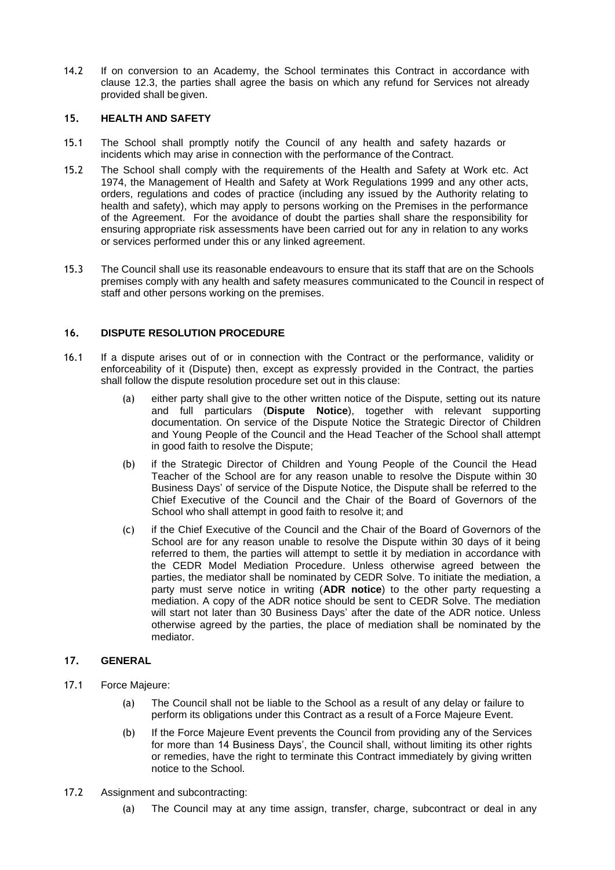14.2 If on conversion to an Academy, the School terminates this Contract in accordance with clause [12.3,](#page-6-2) the parties shall agree the basis on which any refund for Services not already provided shall be given.

# **15. HEALTH AND SAFETY**

- 15.1 The School shall promptly notify the Council of any health and safety hazards or incidents which may arise in connection with the performance of the Contract.
- 15.2 The School shall comply with the requirements of the Health and Safety at Work etc. Act 1974, the Management of Health and Safety at Work Regulations 1999 and any other acts, orders, regulations and codes of practice (including any issued by the Authority relating to health and safety), which may apply to persons working on the Premises in the performance of the Agreement. For the avoidance of doubt the parties shall share the responsibility for ensuring appropriate risk assessments have been carried out for any in relation to any works or services performed under this or any linked agreement.
- 15.3 The Council shall use its reasonable endeavours to ensure that its staff that are on the Schools premises comply with any health and safety measures communicated to the Council in respect of staff and other persons working on the premises.

# **16. DISPUTE RESOLUTION PROCEDURE**

- 16.1 If a dispute arises out of or in connection with the Contract or the performance, validity or enforceability of it (Dispute) then, except as expressly provided in the Contract, the parties shall follow the dispute resolution procedure set out in this clause:
	- (a) either party shall give to the other written notice of the Dispute, setting out its nature and full particulars (**Dispute Notice**), together with relevant supporting documentation. On service of the Dispute Notice the Strategic Director of Children and Young People of the Council and the Head Teacher of the School shall attempt in good faith to resolve the Dispute;
	- (b) if the Strategic Director of Children and Young People of the Council the Head Teacher of the School are for any reason unable to resolve the Dispute within 30 Business Days' of service of the Dispute Notice, the Dispute shall be referred to the Chief Executive of the Council and the Chair of the Board of Governors of the School who shall attempt in good faith to resolve it; and
	- (c) if the Chief Executive of the Council and the Chair of the Board of Governors of the School are for any reason unable to resolve the Dispute within 30 days of it being referred to them, the parties will attempt to settle it by mediation in accordance with the CEDR Model Mediation Procedure. Unless otherwise agreed between the parties, the mediator shall be nominated by CEDR Solve. To initiate the mediation, a party must serve notice in writing (**ADR notice**) to the other party requesting a mediation. A copy of the ADR notice should be sent to CEDR Solve. The mediation will start not later than 30 Business Days' after the date of the ADR notice. Unless otherwise agreed by the parties, the place of mediation shall be nominated by the mediator.

### **17. GENERAL**

- 17.1 Force Majeure:
	- (a) The Council shall not be liable to the School as a result of any delay or failure to perform its obligations under this Contract as a result of a Force Majeure Event.
	- (b) If the Force Majeure Event prevents the Council from providing any of the Services for more than 14 Business Days', the Council shall, without limiting its other rights or remedies, have the right to terminate this Contract immediately by giving written notice to the School.
- 17.2 Assignment and subcontracting:
	- (a) The Council may at any time assign, transfer, charge, subcontract or deal in any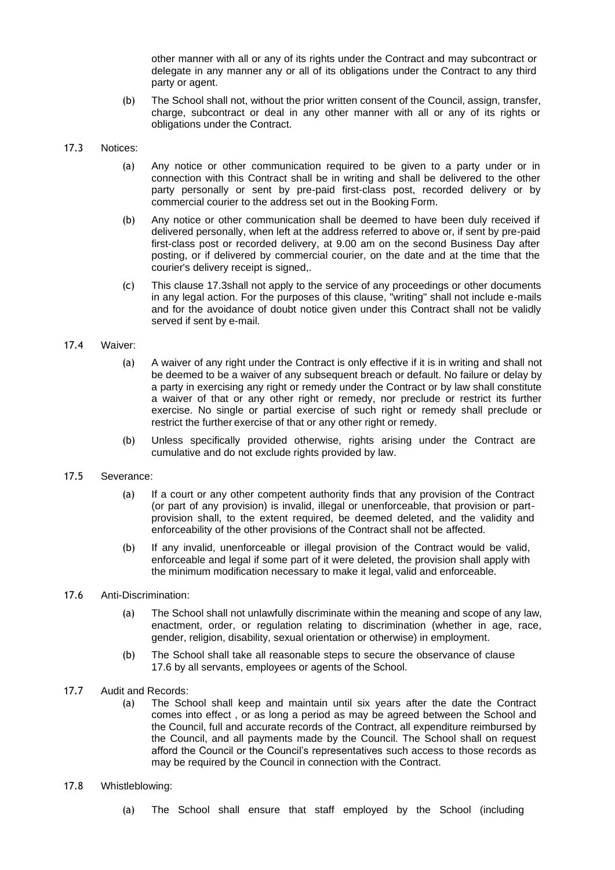other manner with all or any of its rights under the Contract and may subcontract or delegate in any manner any or all of its obligations under the Contract to any third party or agent.

(b) The School shall not, without the prior written consent of the Council, assign, transfer, charge, subcontract or deal in any other manner with all or any of its rights or obligations under the Contract.

#### <span id="page-8-0"></span>17.3 Notices:

- (a) Any notice or other communication required to be given to a party under or in connection with this Contract shall be in writing and shall be delivered to the other party personally or sent by pre-paid first-class post, recorded delivery or by commercial courier to the address set out in the Booking Form.
- (b) Any notice or other communication shall be deemed to have been duly received if delivered personally, when left at the address referred to above or, if sent by pre-paid first-class post or recorded delivery, at 9.00 am on the second Business Day after posting, or if delivered by commercial courier, on the date and at the time that the courier's delivery receipt is signed,.
- (c) This clause [17.3s](#page-8-0)hall not apply to the service of any proceedings or other documents in any legal action. For the purposes of this clause, "writing" shall not include e-mails and for the avoidance of doubt notice given under this Contract shall not be validly served if sent by e-mail.

#### 17.4 Waiver:

- (a) A waiver of any right under the Contract is only effective if it is in writing and shall not be deemed to be a waiver of any subsequent breach or default. No failure or delay by a party in exercising any right or remedy under the Contract or by law shall constitute a waiver of that or any other right or remedy, nor preclude or restrict its further exercise. No single or partial exercise of such right or remedy shall preclude or restrict the further exercise of that or any other right or remedy.
- (b) Unless specifically provided otherwise, rights arising under the Contract are cumulative and do not exclude rights provided by law.

#### 17.5 Severance:

- (a) If a court or any other competent authority finds that any provision of the Contract (or part of any provision) is invalid, illegal or unenforceable, that provision or partprovision shall, to the extent required, be deemed deleted, and the validity and enforceability of the other provisions of the Contract shall not be affected.
- (b) If any invalid, unenforceable or illegal provision of the Contract would be valid, enforceable and legal if some part of it were deleted, the provision shall apply with the minimum modification necessary to make it legal, valid and enforceable.

### <span id="page-8-1"></span>17.6 Anti-Discrimination:

- (a) The School shall not unlawfully discriminate within the meaning and scope of any law, enactment, order, or regulation relating to discrimination (whether in age, race, gender, religion, disability, sexual orientation or otherwise) in employment.
- (b) The School shall take all reasonable steps to secure the observance of clause [17.6](#page-8-1) by all servants, employees or agents of the School.
- 17.7 Audit and Records:
	- (a) The School shall keep and maintain until six years after the date the Contract comes into effect , or as long a period as may be agreed between the School and the Council, full and accurate records of the Contract, all expenditure reimbursed by the Council, and all payments made by the Council. The School shall on request afford the Council or the Council's representatives such access to those records as may be required by the Council in connection with the Contract.

#### 17.8 Whistleblowing:

(a) The School shall ensure that staff employed by the School (including